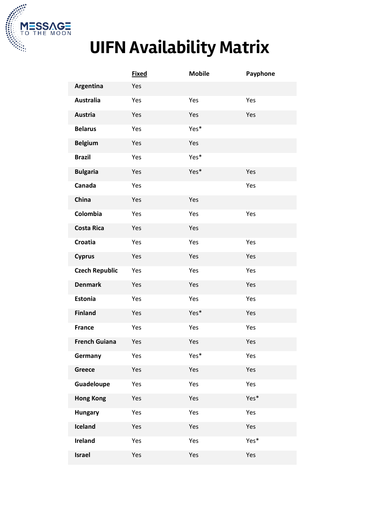

## **UIFN Availability Matrix**

|                       | <b>Fixed</b> | <b>Mobile</b> | Payphone |
|-----------------------|--------------|---------------|----------|
| Argentina             | Yes          |               |          |
| <b>Australia</b>      | Yes          | Yes           | Yes      |
| <b>Austria</b>        | Yes          | Yes           | Yes      |
| <b>Belarus</b>        | Yes          | Yes*          |          |
| <b>Belgium</b>        | Yes          | Yes           |          |
| <b>Brazil</b>         | Yes          | Yes*          |          |
| <b>Bulgaria</b>       | Yes          | Yes*          | Yes      |
| Canada                | Yes          |               | Yes      |
| China                 | Yes          | Yes           |          |
| Colombia              | Yes          | Yes           | Yes      |
| <b>Costa Rica</b>     | Yes          | Yes           |          |
| <b>Croatia</b>        | Yes          | Yes           | Yes      |
| <b>Cyprus</b>         | Yes          | Yes           | Yes      |
| <b>Czech Republic</b> | Yes          | Yes           | Yes      |
| <b>Denmark</b>        | Yes          | Yes           | Yes      |
| Estonia               | Yes          | Yes           | Yes      |
| <b>Finland</b>        | Yes          | Yes*          | Yes      |
| <b>France</b>         | Yes          | Yes           | Yes      |
| <b>French Guiana</b>  | Yes          | Yes           | Yes      |
| Germany               | Yes          | Yes*          | Yes      |
| Greece                | Yes          | Yes           | Yes      |
| Guadeloupe            | Yes          | Yes           | Yes      |
| <b>Hong Kong</b>      | Yes          | Yes           | Yes*     |
| <b>Hungary</b>        | Yes          | Yes           | Yes      |
| Iceland               | Yes          | Yes           | Yes      |
| <b>Ireland</b>        | Yes          | Yes           | Yes*     |
| Israel                | Yes          | Yes           | Yes      |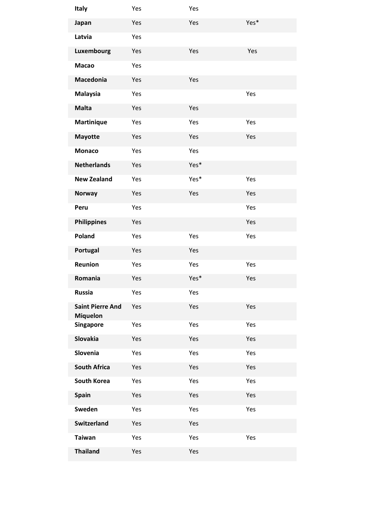| <b>Italy</b>                               | Yes | Yes  |      |
|--------------------------------------------|-----|------|------|
| Japan                                      | Yes | Yes  | Yes* |
| Latvia                                     | Yes |      |      |
| Luxembourg                                 | Yes | Yes  | Yes  |
| <b>Macao</b>                               | Yes |      |      |
| Macedonia                                  | Yes | Yes  |      |
| <b>Malaysia</b>                            | Yes |      | Yes  |
| <b>Malta</b>                               | Yes | Yes  |      |
| <b>Martinique</b>                          | Yes | Yes  | Yes  |
| <b>Mayotte</b>                             | Yes | Yes  | Yes  |
| <b>Monaco</b>                              | Yes | Yes  |      |
| <b>Netherlands</b>                         | Yes | Yes* |      |
| <b>New Zealand</b>                         | Yes | Yes* | Yes  |
| <b>Norway</b>                              | Yes | Yes  | Yes  |
| Peru                                       | Yes |      | Yes  |
| <b>Philippines</b>                         | Yes |      | Yes  |
| Poland                                     | Yes | Yes  | Yes  |
| Portugal                                   | Yes | Yes  |      |
| Reunion                                    | Yes | Yes  | Yes  |
| Romania                                    | Yes | Yes* | Yes  |
| <b>Russia</b>                              | Yes | Yes  |      |
| <b>Saint Pierre And</b><br><b>Miquelon</b> | Yes | Yes  | Yes  |
| <b>Singapore</b>                           | Yes | Yes  | Yes  |
| <b>Slovakia</b>                            | Yes | Yes  | Yes  |
| Slovenia                                   | Yes | Yes  | Yes  |
| <b>South Africa</b>                        | Yes | Yes  | Yes  |
| <b>South Korea</b>                         | Yes | Yes  | Yes  |
| <b>Spain</b>                               | Yes | Yes  | Yes  |
| Sweden                                     | Yes | Yes  | Yes  |
| <b>Switzerland</b>                         | Yes | Yes  |      |
| <b>Taiwan</b>                              | Yes | Yes  | Yes  |
| <b>Thailand</b>                            | Yes | Yes  |      |